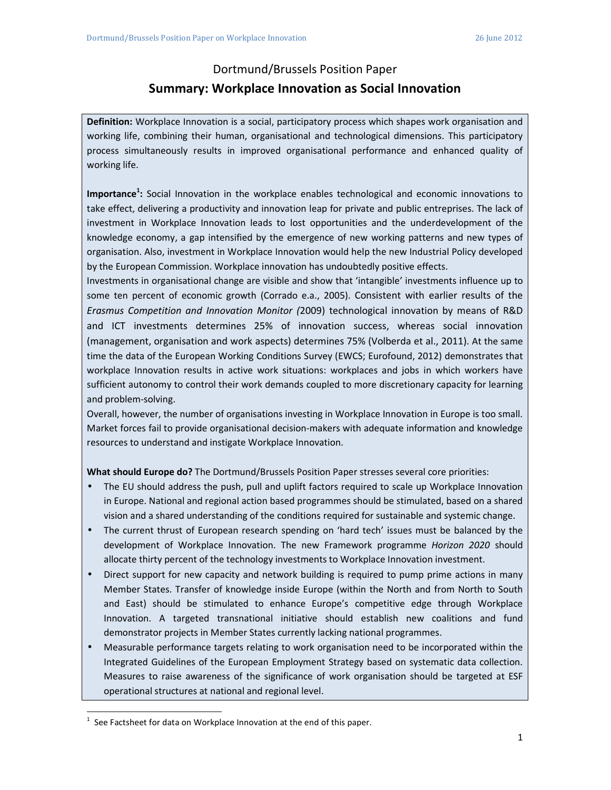## Dortmund/Brussels Position Paper **Summary: Workplace Innovation as Social Innovation**

**Definition:** Workplace Innovation is a social, participatory process which shapes work organisation and working life, combining their human, organisational and technological dimensions. This participatory process simultaneously results in improved organisational performance and enhanced quality of working life.

**Importance<sup>1</sup> :** Social Innovation in the workplace enables technological and economic innovations to take effect, delivering a productivity and innovation leap for private and public entreprises. The lack of investment in Workplace Innovation leads to lost opportunities and the underdevelopment of the knowledge economy, a gap intensified by the emergence of new working patterns and new types of organisation. Also, investment in Workplace Innovation would help the new Industrial Policy developed by the European Commission. Workplace innovation has undoubtedly positive effects.

Investments in organisational change are visible and show that 'intangible' investments influence up to some ten percent of economic growth (Corrado e.a., 2005). Consistent with earlier results of the *Erasmus Competition and Innovation Monitor (*2009) technological innovation by means of R&D and ICT investments determines 25% of innovation success, whereas social innovation (management, organisation and work aspects) determines 75% (Volberda et al., 2011). At the same time the data of the European Working Conditions Survey (EWCS; Eurofound, 2012) demonstrates that workplace Innovation results in active work situations: workplaces and jobs in which workers have sufficient autonomy to control their work demands coupled to more discretionary capacity for learning and problem-solving.

Overall, however, the number of organisations investing in Workplace Innovation in Europe is too small. Market forces fail to provide organisational decision-makers with adequate information and knowledge resources to understand and instigate Workplace Innovation.

**What should Europe do?** The Dortmund/Brussels Position Paper stresses several core priorities:

- The EU should address the push, pull and uplift factors required to scale up Workplace Innovation in Europe. National and regional action based programmes should be stimulated, based on a shared vision and a shared understanding of the conditions required for sustainable and systemic change.
- The current thrust of European research spending on 'hard tech' issues must be balanced by the development of Workplace Innovation. The new Framework programme *Horizon 2020* should allocate thirty percent of the technology investments to Workplace Innovation investment.
- Direct support for new capacity and network building is required to pump prime actions in many Member States. Transfer of knowledge inside Europe (within the North and from North to South and East) should be stimulated to enhance Europe's competitive edge through Workplace Innovation. A targeted transnational initiative should establish new coalitions and fund demonstrator projects in Member States currently lacking national programmes.
- Measurable performance targets relating to work organisation need to be incorporated within the Integrated Guidelines of the European Employment Strategy based on systematic data collection. Measures to raise awareness of the significance of work organisation should be targeted at ESF operational structures at national and regional level.

 $\overline{a}$ 

<sup>1</sup> See Factsheet for data on Workplace Innovation at the end of this paper.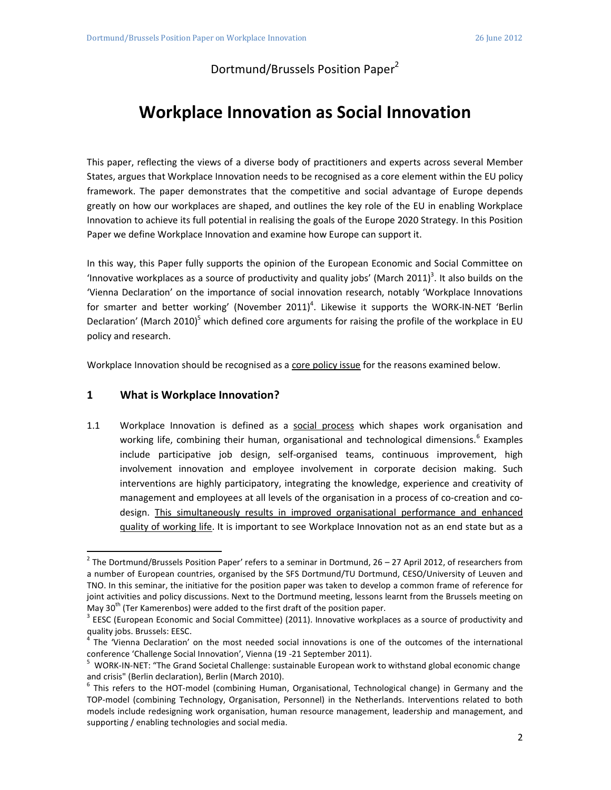Dortmund/Brussels Position Paper<sup>2</sup>

# **Workplace Innovation as Social Innovation**

This paper, reflecting the views of a diverse body of practitioners and experts across several Member States, argues that Workplace Innovation needs to be recognised as a core element within the EU policy framework. The paper demonstrates that the competitive and social advantage of Europe depends greatly on how our workplaces are shaped, and outlines the key role of the EU in enabling Workplace Innovation to achieve its full potential in realising the goals of the Europe 2020 Strategy. In this Position Paper we define Workplace Innovation and examine how Europe can support it.

In this way, this Paper fully supports the opinion of the European Economic and Social Committee on 'Innovative workplaces as a source of productivity and quality jobs' (March 2011)<sup>3</sup>. It also builds on the 'Vienna Declaration' on the importance of social innovation research, notably 'Workplace Innovations for smarter and better working' (November 2011)<sup>4</sup>. Likewise it supports the WORK-IN-NET 'Berlin Declaration' (March 2010)<sup>5</sup> which defined core arguments for raising the profile of the workplace in EU policy and research.

Workplace Innovation should be recognised as a core policy issue for the reasons examined below.

## **1 What is Workplace Innovation?**

 $\overline{a}$ 

1.1 Workplace Innovation is defined as a social process which shapes work organisation and working life, combining their human, organisational and technological dimensions.<sup>6</sup> Examples include participative job design, self-organised teams, continuous improvement, high involvement innovation and employee involvement in corporate decision making. Such interventions are highly participatory, integrating the knowledge, experience and creativity of management and employees at all levels of the organisation in a process of co-creation and codesign. This simultaneously results in improved organisational performance and enhanced quality of working life. It is important to see Workplace Innovation not as an end state but as a

 $^2$  The Dortmund/Brussels Position Paper' refers to a seminar in Dortmund, 26 – 27 April 2012, of researchers from a number of European countries, organised by the SFS Dortmund/TU Dortmund, CESO/University of Leuven and TNO. In this seminar, the initiative for the position paper was taken to develop a common frame of reference for joint activities and policy discussions. Next to the Dortmund meeting, lessons learnt from the Brussels meeting on May  $30<sup>th</sup>$  (Ter Kamerenbos) were added to the first draft of the position paper.

 $3$  EESC (European Economic and Social Committee) (2011). Innovative workplaces as a source of productivity and quality jobs. Brussels: EESC.

<sup>&</sup>lt;sup>4</sup> The 'Vienna Declaration' on the most needed social innovations is one of the outcomes of the international conference 'Challenge Social Innovation', Vienna (19 -21 September 2011).

<sup>&</sup>lt;sup>5</sup> WORK-IN-NET: "The Grand Societal Challenge: sustainable European work to withstand global economic change and crisis" (Berlin declaration), Berlin (March 2010).

<sup>&</sup>lt;sup>6</sup> This refers to the HOT-model (combining Human, Organisational, Technological change) in Germany and the TOP-model (combining Technology, Organisation, Personnel) in the Netherlands. Interventions related to both models include redesigning work organisation, human resource management, leadership and management, and supporting / enabling technologies and social media.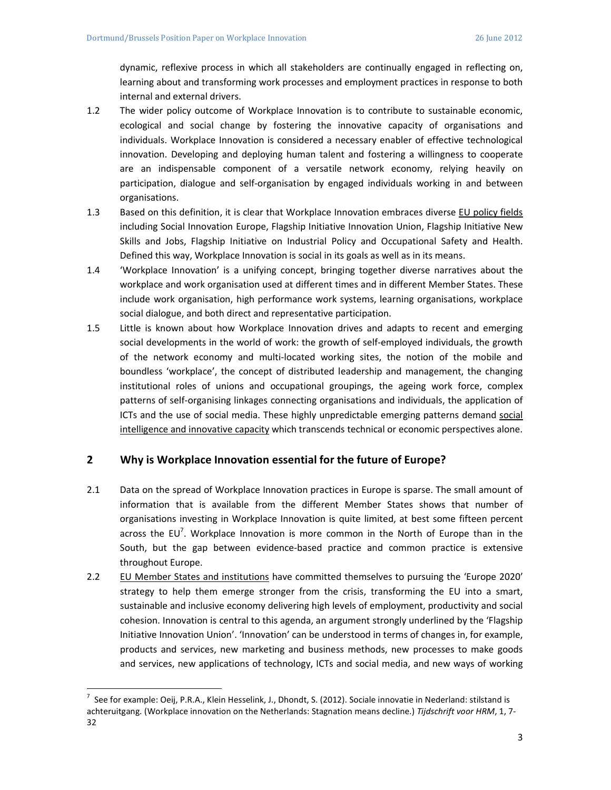dynamic, reflexive process in which all stakeholders are continually engaged in reflecting on, learning about and transforming work processes and employment practices in response to both internal and external drivers.

- 1.2 The wider policy outcome of Workplace Innovation is to contribute to sustainable economic, ecological and social change by fostering the innovative capacity of organisations and individuals. Workplace Innovation is considered a necessary enabler of effective technological innovation. Developing and deploying human talent and fostering a willingness to cooperate are an indispensable component of a versatile network economy, relying heavily on participation, dialogue and self-organisation by engaged individuals working in and between organisations.
- 1.3 Based on this definition, it is clear that Workplace Innovation embraces diverse EU policy fields including Social Innovation Europe, Flagship Initiative Innovation Union, Flagship Initiative New Skills and Jobs, Flagship Initiative on Industrial Policy and Occupational Safety and Health. Defined this way, Workplace Innovation is social in its goals as well as in its means.
- 1.4 'Workplace Innovation' is a unifying concept, bringing together diverse narratives about the workplace and work organisation used at different times and in different Member States. These include work organisation, high performance work systems, learning organisations, workplace social dialogue, and both direct and representative participation.
- 1.5 Little is known about how Workplace Innovation drives and adapts to recent and emerging social developments in the world of work: the growth of self-employed individuals, the growth of the network economy and multi-located working sites, the notion of the mobile and boundless 'workplace', the concept of distributed leadership and management, the changing institutional roles of unions and occupational groupings, the ageing work force, complex patterns of self-organising linkages connecting organisations and individuals, the application of ICTs and the use of social media. These highly unpredictable emerging patterns demand social intelligence and innovative capacity which transcends technical or economic perspectives alone.

### **2 Why is Workplace Innovation essential for the future of Europe?**

- 2.1 Data on the spread of Workplace Innovation practices in Europe is sparse. The small amount of information that is available from the different Member States shows that number of organisations investing in Workplace Innovation is quite limited, at best some fifteen percent across the EU<sup>7</sup>. Workplace Innovation is more common in the North of Europe than in the South, but the gap between evidence-based practice and common practice is extensive throughout Europe.
- 2.2 EU Member States and institutions have committed themselves to pursuing the 'Europe 2020' strategy to help them emerge stronger from the crisis, transforming the EU into a smart, sustainable and inclusive economy delivering high levels of employment, productivity and social cohesion. Innovation is central to this agenda, an argument strongly underlined by the 'Flagship Initiative Innovation Union'. 'Innovation' can be understood in terms of changes in, for example, products and services, new marketing and business methods, new processes to make goods and services, new applications of technology, ICTs and social media, and new ways of working

 $\overline{a}$ 

<sup>&</sup>lt;sup>7</sup> See for example: Oeij, P.R.A., Klein Hesselink, J., Dhondt, S. (2012). Sociale innovatie in Nederland: stilstand is achteruitgang. (Workplace innovation on the Netherlands: Stagnation means decline.) *Tijdschrift voor HRM*, 1, 7- 32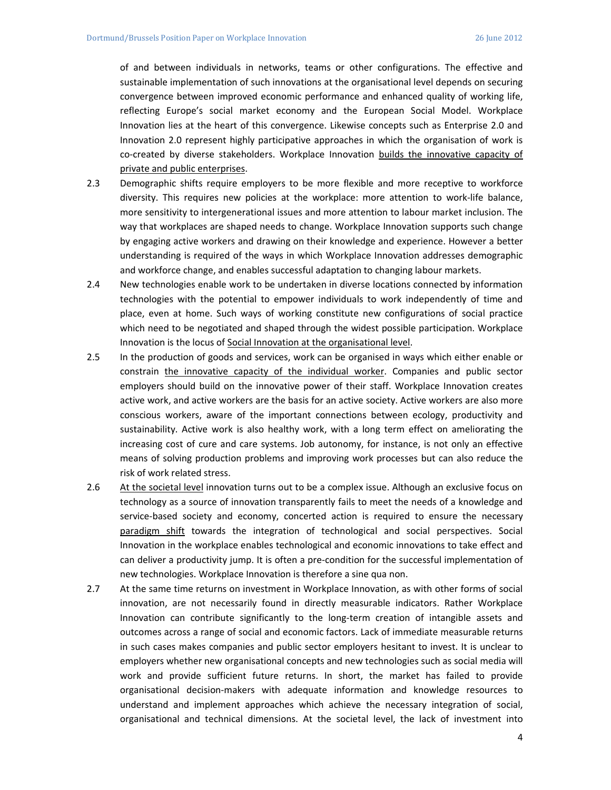of and between individuals in networks, teams or other configurations. The effective and sustainable implementation of such innovations at the organisational level depends on securing convergence between improved economic performance and enhanced quality of working life, reflecting Europe's social market economy and the European Social Model. Workplace Innovation lies at the heart of this convergence. Likewise concepts such as Enterprise 2.0 and Innovation 2.0 represent highly participative approaches in which the organisation of work is co-created by diverse stakeholders. Workplace Innovation builds the innovative capacity of private and public enterprises.

- 2.3 Demographic shifts require employers to be more flexible and more receptive to workforce diversity. This requires new policies at the workplace: more attention to work-life balance, more sensitivity to intergenerational issues and more attention to labour market inclusion. The way that workplaces are shaped needs to change. Workplace Innovation supports such change by engaging active workers and drawing on their knowledge and experience. However a better understanding is required of the ways in which Workplace Innovation addresses demographic and workforce change, and enables successful adaptation to changing labour markets.
- 2.4 New technologies enable work to be undertaken in diverse locations connected by information technologies with the potential to empower individuals to work independently of time and place, even at home. Such ways of working constitute new configurations of social practice which need to be negotiated and shaped through the widest possible participation. Workplace Innovation is the locus of Social Innovation at the organisational level.
- 2.5 In the production of goods and services, work can be organised in ways which either enable or constrain the innovative capacity of the individual worker. Companies and public sector employers should build on the innovative power of their staff. Workplace Innovation creates active work, and active workers are the basis for an active society. Active workers are also more conscious workers, aware of the important connections between ecology, productivity and sustainability. Active work is also healthy work, with a long term effect on ameliorating the increasing cost of cure and care systems. Job autonomy, for instance, is not only an effective means of solving production problems and improving work processes but can also reduce the risk of work related stress.
- 2.6 At the societal level innovation turns out to be a complex issue. Although an exclusive focus on technology as a source of innovation transparently fails to meet the needs of a knowledge and service-based society and economy, concerted action is required to ensure the necessary paradigm shift towards the integration of technological and social perspectives. Social Innovation in the workplace enables technological and economic innovations to take effect and can deliver a productivity jump. It is often a pre-condition for the successful implementation of new technologies. Workplace Innovation is therefore a sine qua non.
- 2.7 At the same time returns on investment in Workplace Innovation, as with other forms of social innovation, are not necessarily found in directly measurable indicators. Rather Workplace Innovation can contribute significantly to the long-term creation of intangible assets and outcomes across a range of social and economic factors. Lack of immediate measurable returns in such cases makes companies and public sector employers hesitant to invest. It is unclear to employers whether new organisational concepts and new technologies such as social media will work and provide sufficient future returns. In short, the market has failed to provide organisational decision-makers with adequate information and knowledge resources to understand and implement approaches which achieve the necessary integration of social, organisational and technical dimensions. At the societal level, the lack of investment into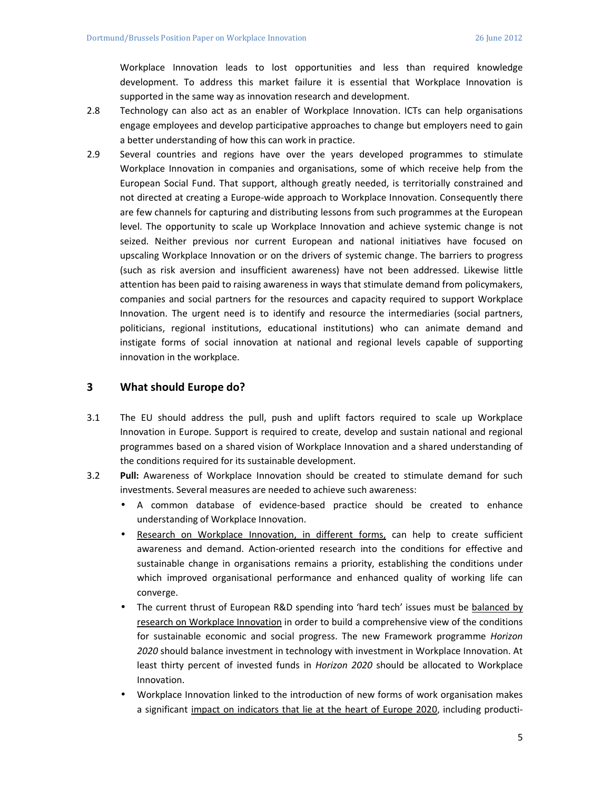Workplace Innovation leads to lost opportunities and less than required knowledge development. To address this market failure it is essential that Workplace Innovation is supported in the same way as innovation research and development.

- 2.8 Technology can also act as an enabler of Workplace Innovation. ICTs can help organisations engage employees and develop participative approaches to change but employers need to gain a better understanding of how this can work in practice.
- 2.9 Several countries and regions have over the years developed programmes to stimulate Workplace Innovation in companies and organisations, some of which receive help from the European Social Fund. That support, although greatly needed, is territorially constrained and not directed at creating a Europe-wide approach to Workplace Innovation. Consequently there are few channels for capturing and distributing lessons from such programmes at the European level. The opportunity to scale up Workplace Innovation and achieve systemic change is not seized. Neither previous nor current European and national initiatives have focused on upscaling Workplace Innovation or on the drivers of systemic change. The barriers to progress (such as risk aversion and insufficient awareness) have not been addressed. Likewise little attention has been paid to raising awareness in ways that stimulate demand from policymakers, companies and social partners for the resources and capacity required to support Workplace Innovation. The urgent need is to identify and resource the intermediaries (social partners, politicians, regional institutions, educational institutions) who can animate demand and instigate forms of social innovation at national and regional levels capable of supporting innovation in the workplace.

### **3 What should Europe do?**

- 3.1 The EU should address the pull, push and uplift factors required to scale up Workplace Innovation in Europe. Support is required to create, develop and sustain national and regional programmes based on a shared vision of Workplace Innovation and a shared understanding of the conditions required for its sustainable development.
- 3.2 **Pull:** Awareness of Workplace Innovation should be created to stimulate demand for such investments. Several measures are needed to achieve such awareness:
	- A common database of evidence-based practice should be created to enhance understanding of Workplace Innovation.
	- Research on Workplace Innovation, in different forms, can help to create sufficient awareness and demand. Action-oriented research into the conditions for effective and sustainable change in organisations remains a priority, establishing the conditions under which improved organisational performance and enhanced quality of working life can converge.
	- The current thrust of European R&D spending into 'hard tech' issues must be balanced by research on Workplace Innovation in order to build a comprehensive view of the conditions for sustainable economic and social progress. The new Framework programme *Horizon 2020* should balance investment in technology with investment in Workplace Innovation. At least thirty percent of invested funds in *Horizon 2020* should be allocated to Workplace Innovation.
	- Workplace Innovation linked to the introduction of new forms of work organisation makes a significant impact on indicators that lie at the heart of Europe 2020, including producti-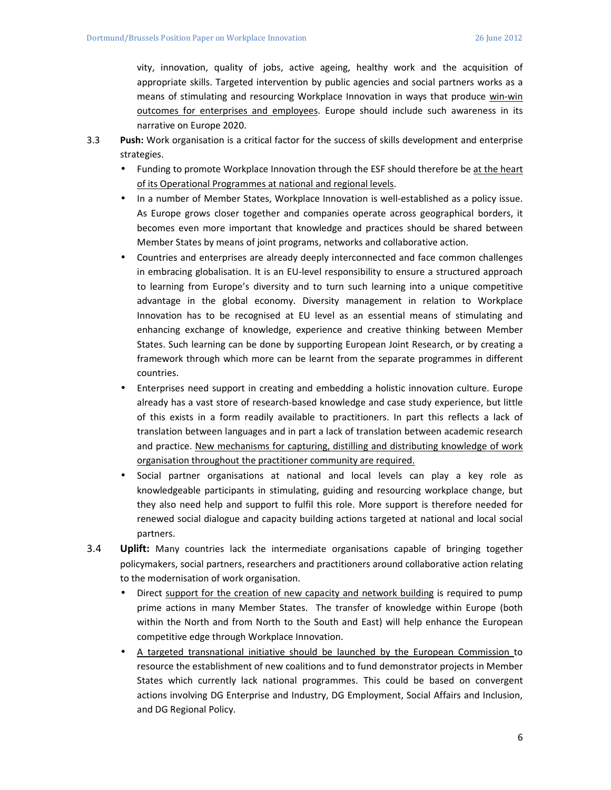vity, innovation, quality of jobs, active ageing, healthy work and the acquisition of appropriate skills. Targeted intervention by public agencies and social partners works as a means of stimulating and resourcing Workplace Innovation in ways that produce win-win outcomes for enterprises and employees. Europe should include such awareness in its narrative on Europe 2020.

- 3.3 **Push:** Work organisation is a critical factor for the success of skills development and enterprise strategies.
	- Funding to promote Workplace Innovation through the ESF should therefore be at the heart of its Operational Programmes at national and regional levels.
	- In a number of Member States, Workplace Innovation is well-established as a policy issue. As Europe grows closer together and companies operate across geographical borders, it becomes even more important that knowledge and practices should be shared between Member States by means of joint programs, networks and collaborative action.
	- Countries and enterprises are already deeply interconnected and face common challenges in embracing globalisation. It is an EU-level responsibility to ensure a structured approach to learning from Europe's diversity and to turn such learning into a unique competitive advantage in the global economy. Diversity management in relation to Workplace Innovation has to be recognised at EU level as an essential means of stimulating and enhancing exchange of knowledge, experience and creative thinking between Member States. Such learning can be done by supporting European Joint Research, or by creating a framework through which more can be learnt from the separate programmes in different countries.
	- Enterprises need support in creating and embedding a holistic innovation culture. Europe already has a vast store of research-based knowledge and case study experience, but little of this exists in a form readily available to practitioners. In part this reflects a lack of translation between languages and in part a lack of translation between academic research and practice. New mechanisms for capturing, distilling and distributing knowledge of work organisation throughout the practitioner community are required.
	- Social partner organisations at national and local levels can play a key role as knowledgeable participants in stimulating, guiding and resourcing workplace change, but they also need help and support to fulfil this role. More support is therefore needed for renewed social dialogue and capacity building actions targeted at national and local social partners.
- 3.4 **Uplift:** Many countries lack the intermediate organisations capable of bringing together policymakers, social partners, researchers and practitioners around collaborative action relating to the modernisation of work organisation.
	- Direct support for the creation of new capacity and network building is required to pump prime actions in many Member States. The transfer of knowledge within Europe (both within the North and from North to the South and East) will help enhance the European competitive edge through Workplace Innovation.
	- A targeted transnational initiative should be launched by the European Commission to resource the establishment of new coalitions and to fund demonstrator projects in Member States which currently lack national programmes. This could be based on convergent actions involving DG Enterprise and Industry, DG Employment, Social Affairs and Inclusion, and DG Regional Policy.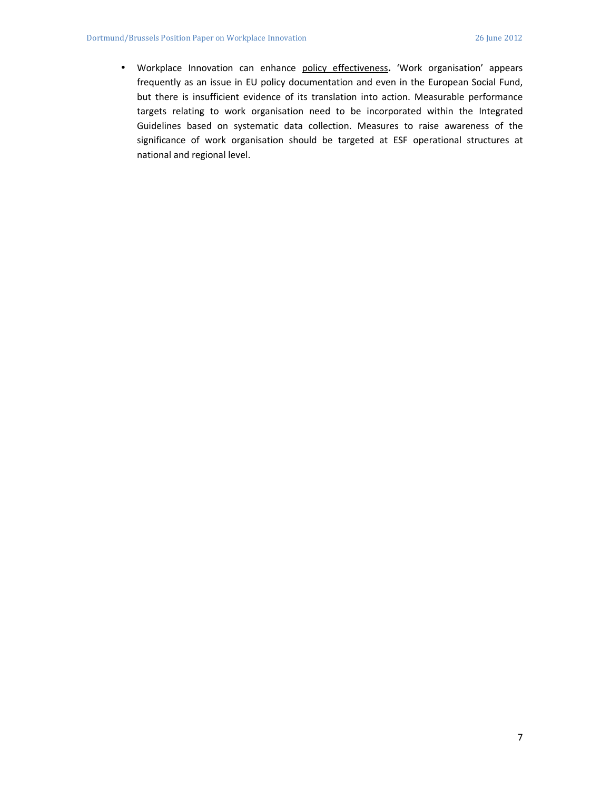• Workplace Innovation can enhance policy effectiveness**.** 'Work organisation' appears frequently as an issue in EU policy documentation and even in the European Social Fund, but there is insufficient evidence of its translation into action. Measurable performance targets relating to work organisation need to be incorporated within the Integrated Guidelines based on systematic data collection. Measures to raise awareness of the significance of work organisation should be targeted at ESF operational structures at national and regional level.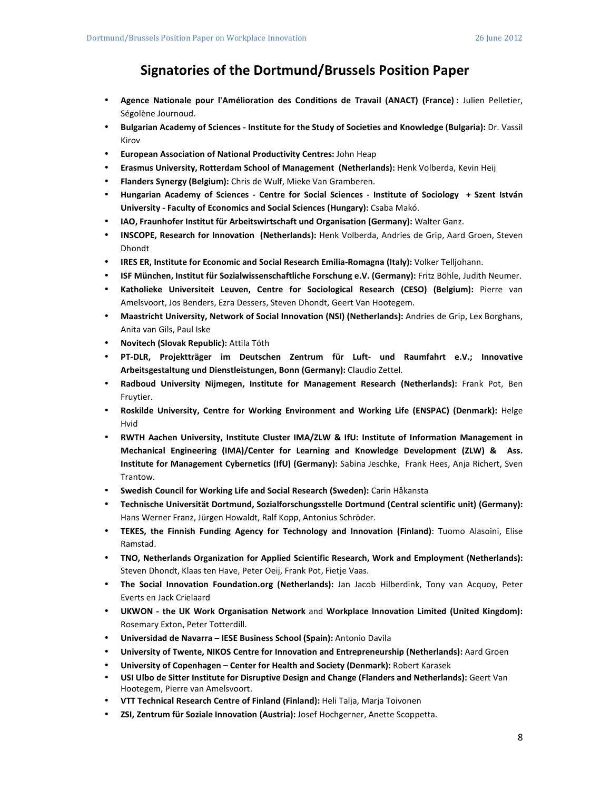## **Signatories of the Dortmund/Brussels Position Paper**

- **Agence Nationale pour l'Amélioration des Conditions de Travail (ANACT) (France) :** Julien Pelletier, Ségolène Journoud.
- **Bulgarian Academy of Sciences Institute for the Study of Societies and Knowledge (Bulgaria):** Dr. Vassil Kirov
- **European Association of National Productivity Centres:** John Heap
- **Erasmus University, Rotterdam School of Management (Netherlands):** Henk Volberda, Kevin Heij
- **Flanders Synergy (Belgium):** Chris de Wulf, Mieke Van Gramberen.
- **Hungarian Academy of Sciences Centre for Social Sciences Institute of Sociology + Szent István University - Faculty of Economics and Social Sciences (Hungary):** Csaba Makó.
- **IAO, Fraunhofer Institut für Arbeitswirtschaft und Organisation (Germany):** Walter Ganz.
- **INSCOPE, Research for Innovation (Netherlands):** Henk Volberda, Andries de Grip, Aard Groen, Steven Dhondt
- **IRES ER, Institute for Economic and Social Research Emilia-Romagna (Italy):** Volker Telljohann.
- **ISF München, Institut für Sozialwissenschaftliche Forschung e.V. (Germany):** Fritz Böhle, Judith Neumer.
- **Katholieke Universiteit Leuven, Centre for Sociological Research (CESO) (Belgium):** Pierre van Amelsvoort, Jos Benders, Ezra Dessers, Steven Dhondt, Geert Van Hootegem.
- **Maastricht University, Network of Social Innovation (NSI) (Netherlands):** Andries de Grip, Lex Borghans, Anita van Gils, Paul Iske
- **Novitech (Slovak Republic):** Attila Tóth
- **PT-DLR, Projektträger im Deutschen Zentrum für Luft- und Raumfahrt e.V.; Innovative Arbeitsgestaltung und Dienstleistungen, Bonn (Germany):** Claudio Zettel.
- **Radboud University Nijmegen, Institute for Management Research (Netherlands):** Frank Pot, Ben Fruytier.
- **Roskilde University, Centre for Working Environment and Working Life (ENSPAC) (Denmark):** Helge Hvid
- **RWTH Aachen University, Institute Cluster IMA/ZLW & IfU: Institute of Information Management in Mechanical Engineering (IMA)/Center for Learning and Knowledge Development (ZLW) & Ass. Institute for Management Cybernetics (IfU) (Germany):** Sabina Jeschke, Frank Hees, Anja Richert, Sven Trantow.
- **Swedish Council for Working Life and Social Research (Sweden):** Carin Håkansta
- **Technische Universität Dortmund, Sozialforschungsstelle Dortmund (Central scientific unit) (Germany):** Hans Werner Franz, Jürgen Howaldt, Ralf Kopp, Antonius Schröder.
- **TEKES, the Finnish Funding Agency for Technology and Innovation (Finland)**: Tuomo Alasoini, Elise Ramstad.
- **TNO, Netherlands Organization for Applied Scientific Research, Work and Employment (Netherlands):** Steven Dhondt, Klaas ten Have, Peter Oeij, Frank Pot, Fietje Vaas.
- **The Social Innovation Foundation.org (Netherlands):** Jan Jacob Hilberdink, Tony van Acquoy, Peter Everts en Jack Crielaard
- **UKWON the UK Work Organisation Network** and **Workplace Innovation Limited (United Kingdom):** Rosemary Exton, Peter Totterdill.
- **Universidad de Navarra IESE Business School (Spain):** Antonio Davila
- **University of Twente, NIKOS Centre for Innovation and Entrepreneurship (Netherlands):** Aard Groen
- **University of Copenhagen Center for Health and Society (Denmark):** Robert Karasek
- **USI Ulbo de Sitter Institute for Disruptive Design and Change (Flanders and Netherlands):** Geert Van Hootegem, Pierre van Amelsvoort.
- **VTT Technical Research Centre of Finland (Finland):** Heli Talja, Marja Toivonen
- **ZSI, Zentrum für Soziale Innovation (Austria):** Josef Hochgerner, Anette Scoppetta.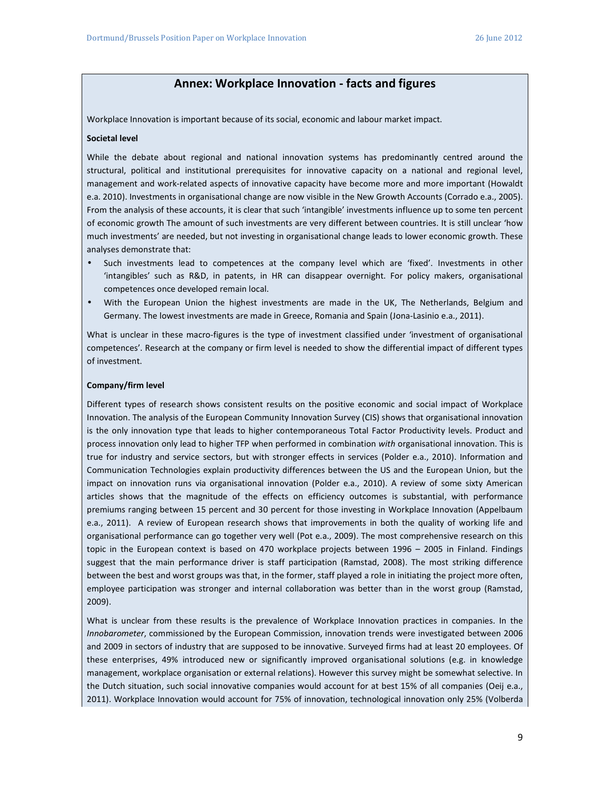## **Annex: Workplace Innovation - facts and figures**

Workplace Innovation is important because of its social, economic and labour market impact.

#### **Societal level**

While the debate about regional and national innovation systems has predominantly centred around the structural, political and institutional prerequisites for innovative capacity on a national and regional level, management and work-related aspects of innovative capacity have become more and more important (Howaldt e.a. 2010). Investments in organisational change are now visible in the New Growth Accounts (Corrado e.a., 2005). From the analysis of these accounts, it is clear that such 'intangible' investments influence up to some ten percent of economic growth The amount of such investments are very different between countries. It is still unclear 'how much investments' are needed, but not investing in organisational change leads to lower economic growth. These analyses demonstrate that:

- Such investments lead to competences at the company level which are 'fixed'. Investments in other 'intangibles' such as R&D, in patents, in HR can disappear overnight. For policy makers, organisational competences once developed remain local.
- With the European Union the highest investments are made in the UK, The Netherlands, Belgium and Germany. The lowest investments are made in Greece, Romania and Spain (Jona-Lasinio e.a., 2011).

What is unclear in these macro-figures is the type of investment classified under 'investment of organisational competences'. Research at the company or firm level is needed to show the differential impact of different types of investment.

#### **Company/firm level**

Different types of research shows consistent results on the positive economic and social impact of Workplace Innovation. The analysis of the European Community Innovation Survey (CIS) shows that organisational innovation is the only innovation type that leads to higher contemporaneous Total Factor Productivity levels. Product and process innovation only lead to higher TFP when performed in combination *with* organisational innovation. This is true for industry and service sectors, but with stronger effects in services (Polder e.a., 2010). Information and Communication Technologies explain productivity differences between the US and the European Union, but the impact on innovation runs via organisational innovation (Polder e.a., 2010). A review of some sixty American articles shows that the magnitude of the effects on efficiency outcomes is substantial, with performance premiums ranging between 15 percent and 30 percent for those investing in Workplace Innovation (Appelbaum e.a., 2011). A review of European research shows that improvements in both the quality of working life and organisational performance can go together very well (Pot e.a., 2009). The most comprehensive research on this topic in the European context is based on 470 workplace projects between 1996 – 2005 in Finland. Findings suggest that the main performance driver is staff participation (Ramstad, 2008). The most striking difference between the best and worst groups was that, in the former, staff played a role in initiating the project more often, employee participation was stronger and internal collaboration was better than in the worst group (Ramstad, 2009).

What is unclear from these results is the prevalence of Workplace Innovation practices in companies. In the *Innobarometer*, commissioned by the European Commission, innovation trends were investigated between 2006 and 2009 in sectors of industry that are supposed to be innovative. Surveyed firms had at least 20 employees. Of these enterprises, 49% introduced new or significantly improved organisational solutions (e.g. in knowledge management, workplace organisation or external relations). However this survey might be somewhat selective. In the Dutch situation, such social innovative companies would account for at best 15% of all companies (Oeij e.a., 2011). Workplace Innovation would account for 75% of innovation, technological innovation only 25% (Volberda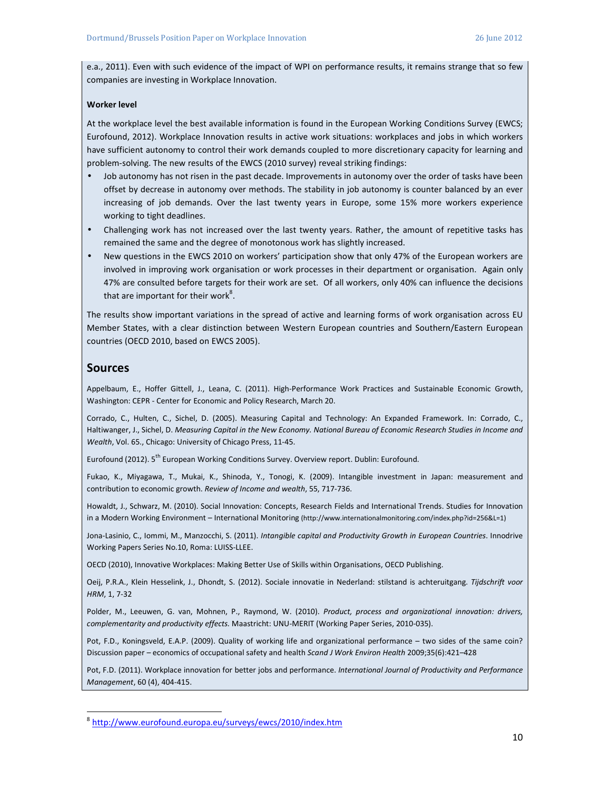e.a., 2011). Even with such evidence of the impact of WPI on performance results, it remains strange that so few companies are investing in Workplace Innovation.

#### **Worker level**

At the workplace level the best available information is found in the European Working Conditions Survey (EWCS; Eurofound, 2012). Workplace Innovation results in active work situations: workplaces and jobs in which workers have sufficient autonomy to control their work demands coupled to more discretionary capacity for learning and problem-solving. The new results of the EWCS (2010 survey) reveal striking findings:

- Job autonomy has not risen in the past decade. Improvements in autonomy over the order of tasks have been offset by decrease in autonomy over methods. The stability in job autonomy is counter balanced by an ever increasing of job demands. Over the last twenty years in Europe, some 15% more workers experience working to tight deadlines.
- Challenging work has not increased over the last twenty years. Rather, the amount of repetitive tasks has remained the same and the degree of monotonous work has slightly increased.
- New questions in the EWCS 2010 on workers' participation show that only 47% of the European workers are involved in improving work organisation or work processes in their department or organisation. Again only 47% are consulted before targets for their work are set. Of all workers, only 40% can influence the decisions that are important for their work ${}^{8}$ .

The results show important variations in the spread of active and learning forms of work organisation across EU Member States, with a clear distinction between Western European countries and Southern/Eastern European countries (OECD 2010, based on EWCS 2005).

#### **Sources**

 $\overline{a}$ 

Appelbaum, E., Hoffer Gittell, J., Leana, C. (2011). High-Performance Work Practices and Sustainable Economic Growth, Washington: CEPR - Center for Economic and Policy Research, March 20.

Corrado, C., Hulten, C., Sichel, D. (2005). Measuring Capital and Technology: An Expanded Framework. In: Corrado, C., Haltiwanger, J., Sichel, D. *Measuring Capital in the New Economy. National Bureau of Economic Research Studies in Income and Wealth*, Vol. 65., Chicago: University of Chicago Press, 11-45.

Eurofound (2012). 5<sup>th</sup> European Working Conditions Survey. Overview report. Dublin: Eurofound.

Fukao, K., Miyagawa, T., Mukai, K., Shinoda, Y., Tonogi, K. (2009). Intangible investment in Japan: measurement and contribution to economic growth. *Review of Income and wealth*, 55, 717-736.

Howaldt, J., Schwarz, M. (2010). Social Innovation: Concepts, Research Fields and International Trends. Studies for Innovation in a Modern Working Environment – International Monitoring (http://www.internationalmonitoring.com/index.php?id=256&L=1)

Jona-Lasinio, C., Iommi, M., Manzocchi, S. (2011). *Intangible capital and Productivity Growth in European Countries*. Innodrive Working Papers Series No.10, Roma: LUISS-LLEE.

OECD (2010), Innovative Workplaces: Making Better Use of Skills within Organisations, OECD Publishing.

Oeij, P.R.A., Klein Hesselink, J., Dhondt, S. (2012). Sociale innovatie in Nederland: stilstand is achteruitgang. *Tijdschrift voor HRM*, 1, 7-32

Polder, M., Leeuwen, G. van, Mohnen, P., Raymond, W. (2010). *Product, process and organizational innovation: drivers, complementarity and productivity effects.* Maastricht: UNU-MERIT (Working Paper Series, 2010-035).

Pot, F.D., Koningsveld, E.A.P. (2009). Quality of working life and organizational performance – two sides of the same coin? Discussion paper – economics of occupational safety and health *Scand J Work Environ Health* 2009;35(6):421–428

Pot, F.D. (2011). Workplace innovation for better jobs and performance. *International Journal of Productivity and Performance Management*, 60 (4), 404-415.

<sup>8</sup> http://www.eurofound.europa.eu/surveys/ewcs/2010/index.htm